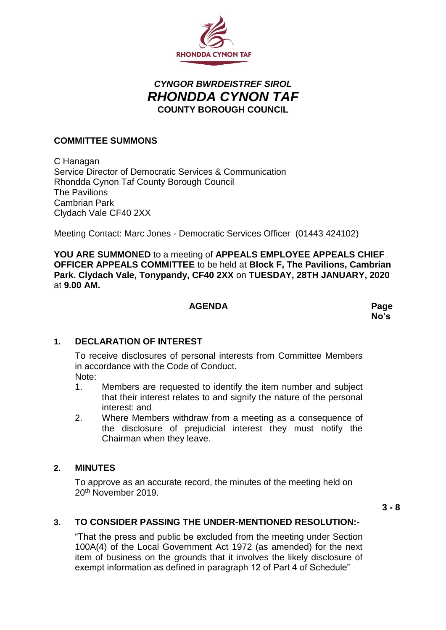

# *CYNGOR BWRDEISTREF SIROL RHONDDA CYNON TAF* **COUNTY BOROUGH COUNCIL**

#### **COMMITTEE SUMMONS**

C Hanagan Service Director of Democratic Services & Communication Rhondda Cynon Taf County Borough Council The Pavilions Cambrian Park Clydach Vale CF40 2XX

Meeting Contact: Marc Jones - Democratic Services Officer (01443 424102)

**YOU ARE SUMMONED** to a meeting of **APPEALS EMPLOYEE APPEALS CHIEF OFFICER APPEALS COMMITTEE** to be held at **Block F, The Pavilions, Cambrian Park. Clydach Vale, Tonypandy, CF40 2XX** on **TUESDAY, 28TH JANUARY, 2020** at **9.00 AM.**

#### **AGENDA Page**

# **No's**

# **1. DECLARATION OF INTEREST**

To receive disclosures of personal interests from Committee Members in accordance with the Code of Conduct.

- Note:
- 1. Members are requested to identify the item number and subject that their interest relates to and signify the nature of the personal interest: and
- 2. Where Members withdraw from a meeting as a consequence of the disclosure of prejudicial interest they must notify the Chairman when they leave.

#### **2. MINUTES**

To approve as an accurate record, the minutes of the meeting held on 20th November 2019.

**3 - 8**

# **3. TO CONSIDER PASSING THE UNDER-MENTIONED RESOLUTION:-**

"That the press and public be excluded from the meeting under Section 100A(4) of the Local Government Act 1972 (as amended) for the next item of business on the grounds that it involves the likely disclosure of exempt information as defined in paragraph 12 of Part 4 of Schedule"